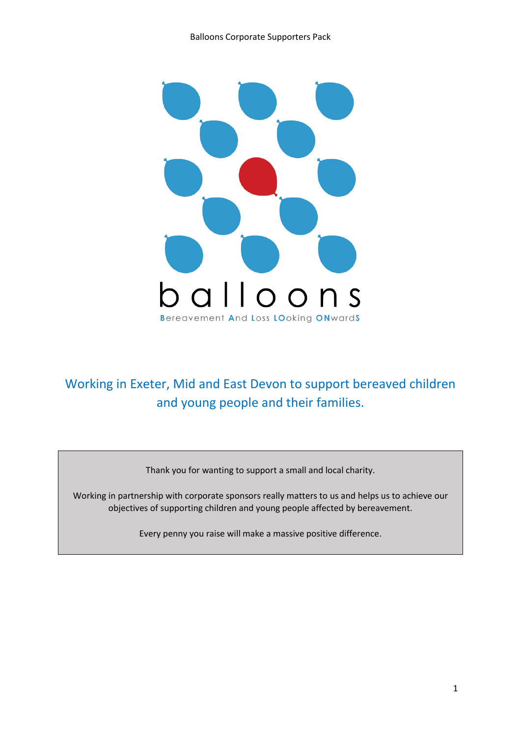

# Working in Exeter, Mid and East Devon to support bereaved children and young people and their families.

Thank you for wanting to support a small and local charity.

Working in partnership with corporate sponsors really matters to us and helps us to achieve our objectives of supporting children and young people affected by bereavement.

Every penny you raise will make a massive positive difference.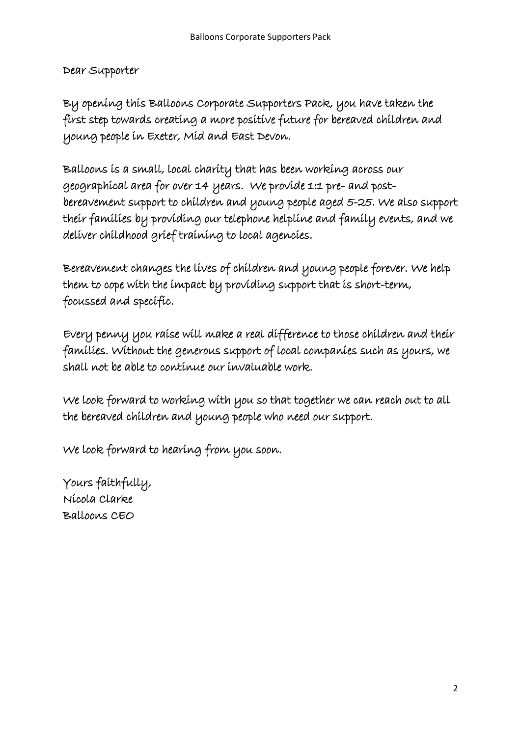Dear Supporter

By opening this Balloons Corporate Supporters Pack, you have taken the first step towards creating a more positive future for bereaved children and young people in Exeter, Mid and East Devon.

Balloons is a small, local charity that has been working across our geographical area for over 14 years. We provide 1:1 pre- and postbereavement support to children and young people aged 5-25. We also support their families by providing our telephone helpline and family events, and we deliver childhood grief training to local agencies.

Bereavement changes the lives of children and young people forever. We help them to cope with the impact by providing support that is short-term, focussed and specific.

Every penny you raise will make a real difference to those children and their families. Without the generous support of local companies such as yours, we shall not be able to continue our invaluable work.

We look forward to working with you so that together we can reach out to all the bereaved children and young people who need our support.

We look forward to hearing from you soon.

Yours faithfully, Nicola Clarke Balloons CEO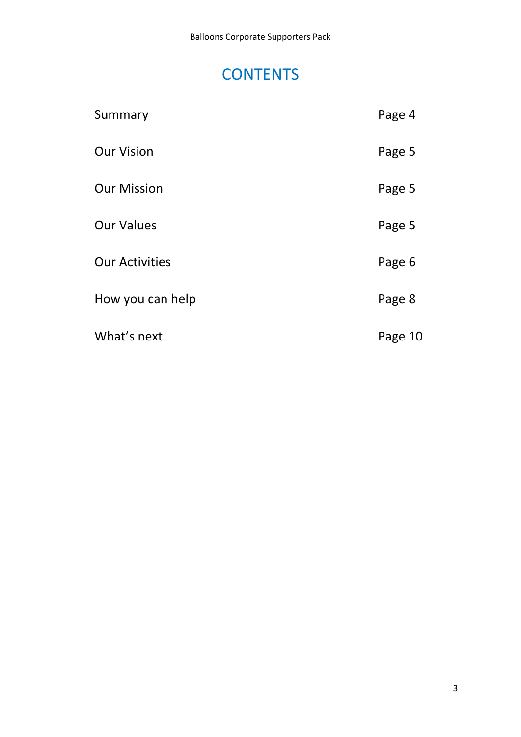# **CONTENTS**

| Summary               | Page 4  |
|-----------------------|---------|
| <b>Our Vision</b>     | Page 5  |
| <b>Our Mission</b>    | Page 5  |
| <b>Our Values</b>     | Page 5  |
| <b>Our Activities</b> | Page 6  |
| How you can help      | Page 8  |
| What's next           | Page 10 |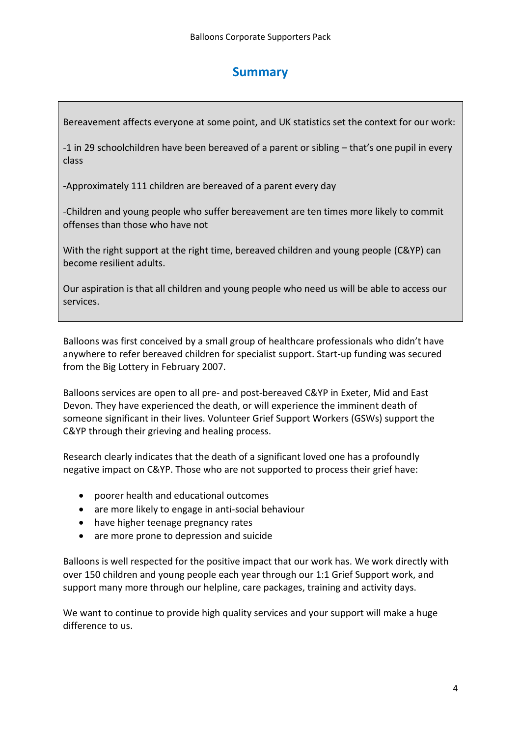### **Summary**

Bereavement affects everyone at some point, and UK statistics set the context for our work:

-1 in 29 schoolchildren have been bereaved of a parent or sibling – that's one pupil in every class

-Approximately 111 children are bereaved of a parent every day

-Children and young people who suffer bereavement are ten times more likely to commit offenses than those who have not

With the right support at the right time, bereaved children and young people (C&YP) can become resilient adults.

Our aspiration is that all children and young people who need us will be able to access our services.

Balloons was first conceived by a small group of healthcare professionals who didn't have anywhere to refer bereaved children for specialist support. Start-up funding was secured from the Big Lottery in February 2007.

Balloons services are open to all pre- and post-bereaved C&YP in Exeter, Mid and East Devon. They have experienced the death, or will experience the imminent death of someone significant in their lives. Volunteer Grief Support Workers (GSWs) support the C&YP through their grieving and healing process.

Research clearly indicates that the death of a significant loved one has a profoundly negative impact on C&YP. Those who are not supported to process their grief have:

- poorer health and educational outcomes
- are more likely to engage in anti-social behaviour
- have higher teenage pregnancy rates
- are more prone to depression and suicide

Balloons is well respected for the positive impact that our work has. We work directly with over 150 children and young people each year through our 1:1 Grief Support work, and support many more through our helpline, care packages, training and activity days.

We want to continue to provide high quality services and your support will make a huge difference to us.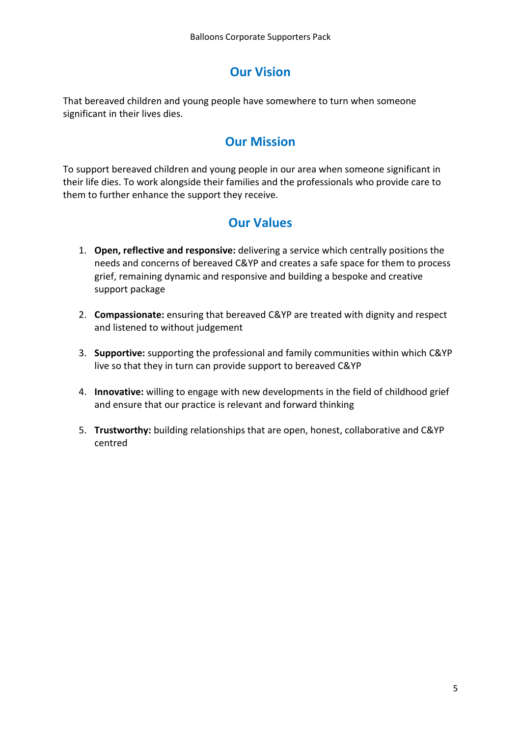# **Our Vision**

That bereaved children and young people have somewhere to turn when someone significant in their lives dies.

## **Our Mission**

To support bereaved children and young people in our area when someone significant in their life dies. To work alongside their families and the professionals who provide care to them to further enhance the support they receive.

## **Our Values**

- 1. **Open, reflective and responsive:** delivering a service which centrally positions the needs and concerns of bereaved C&YP and creates a safe space for them to process grief, remaining dynamic and responsive and building a bespoke and creative support package
- 2. **Compassionate:** ensuring that bereaved C&YP are treated with dignity and respect and listened to without judgement
- 3. **Supportive:** supporting the professional and family communities within which C&YP live so that they in turn can provide support to bereaved C&YP
- 4. **Innovative:** willing to engage with new developments in the field of childhood grief and ensure that our practice is relevant and forward thinking
- 5. **Trustworthy:** building relationships that are open, honest, collaborative and C&YP centred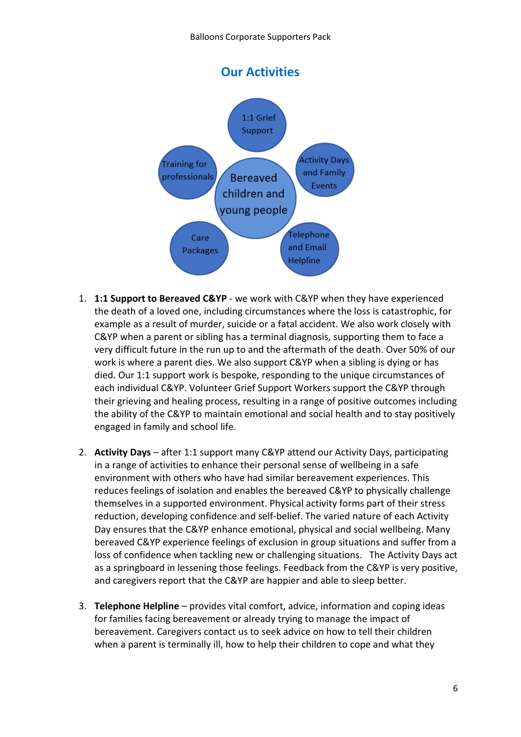

- 1. **1:1 Support to Bereaved C&YP** we work with C&YP when they have experienced the death of a loved one, including circumstances where the loss is catastrophic, for example as a result of murder, suicide or a fatal accident. We also work closely with C&YP when a parent or sibling has a terminal diagnosis, supporting them to face a very difficult future in the run up to and the aftermath of the death. Over 50% of our work is where a parent dies. We also support C&YP when a sibling is dying or has died. Our 1:1 support work is bespoke, responding to the unique circumstances of each individual C&YP. Volunteer Grief Support Workers support the C&YP through their grieving and healing process, resulting in a range of positive outcomes including the ability of the C&YP to maintain emotional and social health and to stay positively engaged in family and school life.
- 2. **Activity Days** after 1:1 support many C&YP attend our Activity Days, participating in a range of activities to enhance their personal sense of wellbeing in a safe environment with others who have had similar bereavement experiences. This reduces feelings of isolation and enables the bereaved C&YP to physically challenge themselves in a supported environment. Physical activity forms part of their stress reduction, developing confidence and self-belief. The varied nature of each Activity Day ensures that the C&YP enhance emotional, physical and social wellbeing. Many bereaved C&YP experience feelings of exclusion in group situations and suffer from a loss of confidence when tackling new or challenging situations. The Activity Days act as a springboard in lessening those feelings. Feedback from the C&YP is very positive, and caregivers report that the C&YP are happier and able to sleep better.
- 3. **Telephone Helpline** provides vital comfort, advice, information and coping ideas for families facing bereavement or already trying to manage the impact of bereavement. Caregivers contact us to seek advice on how to tell their children when a parent is terminally ill, how to help their children to cope and what they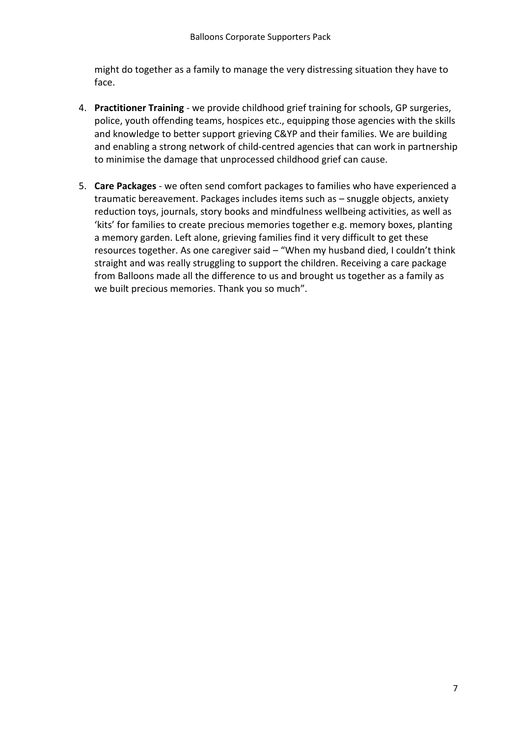might do together as a family to manage the very distressing situation they have to face.

- 4. **Practitioner Training** we provide childhood grief training for schools, GP surgeries, police, youth offending teams, hospices etc., equipping those agencies with the skills and knowledge to better support grieving C&YP and their families. We are building and enabling a strong network of child-centred agencies that can work in partnership to minimise the damage that unprocessed childhood grief can cause.
- 5. **Care Packages** we often send comfort packages to families who have experienced a traumatic bereavement. Packages includes items such as – snuggle objects, anxiety reduction toys, journals, story books and mindfulness wellbeing activities, as well as 'kits' for families to create precious memories together e.g. memory boxes, planting a memory garden. Left alone, grieving families find it very difficult to get these resources together. As one caregiver said – "When my husband died, I couldn't think straight and was really struggling to support the children. Receiving a care package from Balloons made all the difference to us and brought us together as a family as we built precious memories. Thank you so much".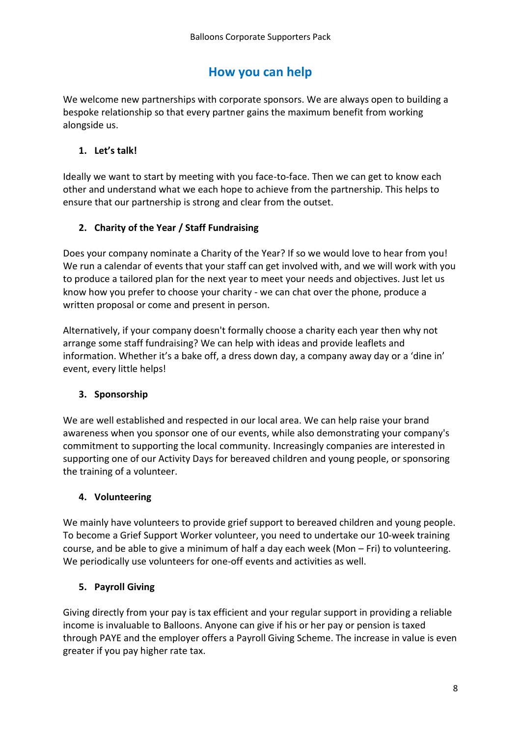### **How you can help**

We welcome new partnerships with corporate sponsors. We are always open to building a bespoke relationship so that every partner gains the maximum benefit from working alongside us.

#### **1. Let's talk!**

Ideally we want to start by meeting with you face-to-face. Then we can get to know each other and understand what we each hope to achieve from the partnership. This helps to ensure that our partnership is strong and clear from the outset.

#### **2. Charity of the Year / Staff Fundraising**

Does your company nominate a Charity of the Year? If so we would love to hear from you! We run a calendar of events that your staff can get involved with, and we will work with you to produce a tailored plan for the next year to meet your needs and objectives. Just let us know how you prefer to choose your charity - we can chat over the phone, produce a written proposal or come and present in person.

Alternatively, if your company doesn't formally choose a charity each year then why not arrange some staff fundraising? We can help with ideas and provide leaflets and information. Whether it's a bake off, a dress down day, a company away day or a 'dine in' event, every little helps!

#### **3. Sponsorship**

We are well established and respected in our local area. We can help raise your brand awareness when you sponsor one of our events, while also demonstrating your company's commitment to supporting the local community. Increasingly companies are interested in supporting one of our Activity Days for bereaved children and young people, or sponsoring the training of a volunteer.

#### **4. Volunteering**

We mainly have volunteers to provide grief support to bereaved children and young people. To become a Grief Support Worker volunteer, you need to undertake our 10-week training course, and be able to give a minimum of half a day each week (Mon – Fri) to volunteering. We periodically use volunteers for one-off events and activities as well.

#### **5. Payroll Giving**

Giving directly from your pay is tax efficient and your regular support in providing a reliable income is invaluable to Balloons. Anyone can give if his or her pay or pension is taxed through PAYE and the employer offers a Payroll Giving Scheme. The increase in value is even greater if you pay higher rate tax.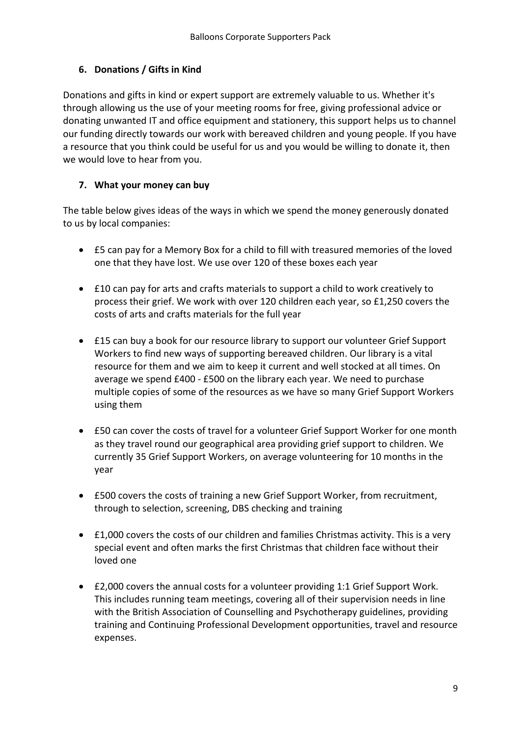#### **6. Donations / Gifts in Kind**

Donations and gifts in kind or expert support are extremely valuable to us. Whether it's through allowing us the use of your meeting rooms for free, giving professional advice or donating unwanted IT and office equipment and stationery, this support helps us to channel our funding directly towards our work with bereaved children and young people. If you have a resource that you think could be useful for us and you would be willing to donate it, then we would love to hear from you.

#### **7. What your money can buy**

The table below gives ideas of the ways in which we spend the money generously donated to us by local companies:

- £5 can pay for a Memory Box for a child to fill with treasured memories of the loved one that they have lost. We use over 120 of these boxes each year
- £10 can pay for arts and crafts materials to support a child to work creatively to process their grief. We work with over 120 children each year, so £1,250 covers the costs of arts and crafts materials for the full year
- £15 can buy a book for our resource library to support our volunteer Grief Support Workers to find new ways of supporting bereaved children. Our library is a vital resource for them and we aim to keep it current and well stocked at all times. On average we spend £400 - £500 on the library each year. We need to purchase multiple copies of some of the resources as we have so many Grief Support Workers using them
- £50 can cover the costs of travel for a volunteer Grief Support Worker for one month as they travel round our geographical area providing grief support to children. We currently 35 Grief Support Workers, on average volunteering for 10 months in the year
- £500 covers the costs of training a new Grief Support Worker, from recruitment, through to selection, screening, DBS checking and training
- £1,000 covers the costs of our children and families Christmas activity. This is a very special event and often marks the first Christmas that children face without their loved one
- £2,000 covers the annual costs for a volunteer providing 1:1 Grief Support Work. This includes running team meetings, covering all of their supervision needs in line with the British Association of Counselling and Psychotherapy guidelines, providing training and Continuing Professional Development opportunities, travel and resource expenses.